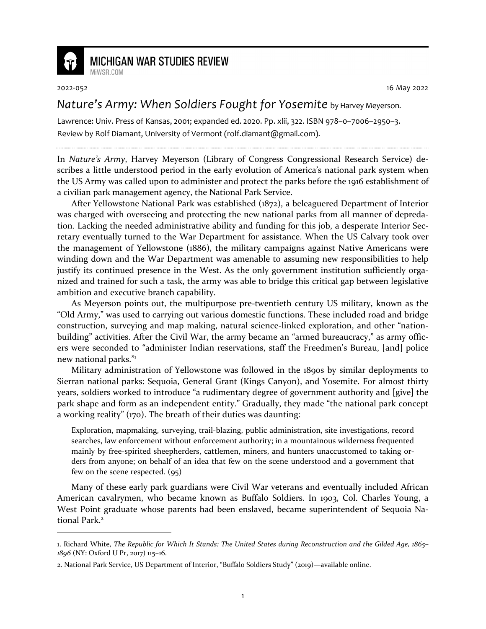

## **MICHIGAN WAR STUDIES REVIEW**

MiWSR COM

2022-052 16 May 2022

## *Nature's Army: When Soldiers Fought for Yosemite* by Harvey Meyerson.

Lawrence: Univ. Press of Kansas, 2001; expanded ed. 2020. Pp. xlii, 322. ISBN 978–0–7006–2950–3. Review by Rolf Diamant, University of Vermont (rolf.diamant@gmail.com).

In *Nature's Army*, Harvey Meyerson (Library of Congress Congressional Research Service) describes a little understood period in the early evolution of America's national park system when the US Army was called upon to administer and protect the parks before the 1916 establishment of a civilian park management agency, the National Park Service.

After Yellowstone National Park was established (1872), a beleaguered Department of Interior was charged with overseeing and protecting the new national parks from all manner of depredation. Lacking the needed administrative ability and funding for this job, a desperate Interior Secretary eventually turned to the War Department for assistance. When the US Calvary took over the management of Yellowstone (1886), the military campaigns against Native Americans were winding down and the War Department was amenable to assuming new responsibilities to help justify its continued presence in the West. As the only government institution sufficiently organized and trained for such a task, the army was able to bridge this critical gap between legislative ambition and executive branch capability.

As Meyerson points out, the multipurpose pre-twentieth century US military, known as the "Old Army," was used to carrying out various domestic functions. These included road and bridge construction, surveying and map making, natural science-linked exploration, and other "nationbuilding" activities. After the Civil War, the army became an "armed bureaucracy," as army officers were seconded to "administer Indian reservations, staff the Freedmen's Bureau, [and] police new national parks."<sup>1</sup>

Military administration of Yellowstone was followed in the 1890s by similar deployments to Sierran national parks: Sequoia, General Grant (Kings Canyon), and Yosemite. For almost thirty years, soldiers worked to introduce "a rudimentary degree of government authority and [give] the park shape and form as an independent entity." Gradually, they made "the national park concept a working reality" (170). The breath of their duties was daunting:

Exploration, mapmaking, surveying, trail-blazing, public administration, site investigations, record searches, law enforcement without enforcement authority; in a mountainous wilderness frequented mainly by free-spirited sheepherders, cattlemen, miners, and hunters unaccustomed to taking orders from anyone; on behalf of an idea that few on the scene understood and a government that few on the scene respected. (95)

Many of these early park guardians were Civil War veterans and eventually included African American cavalrymen, who became known as Buffalo Soldiers. In 1903, Col. Charles Young, a West Point graduate whose parents had been enslaved, became superintendent of Sequoia National Park.<sup>2</sup>

<sup>1.</sup> Richard White, *The Republic for Which It Stands: The United States during Reconstruction and the Gilded Age, 1865– 1896* (NY: Oxford U Pr, 2017) 115–16.

<sup>2.</sup> National Park Service, US Department of Interior, "Buffalo Soldiers Study" (2019)—available online.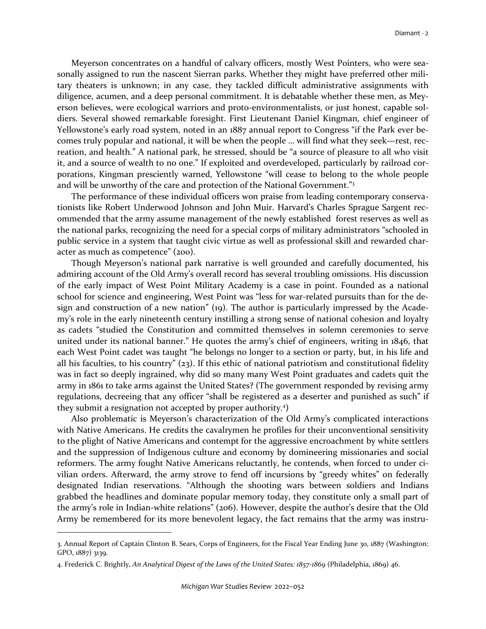Meyerson concentrates on a handful of calvary officers, mostly West Pointers, who were seasonally assigned to run the nascent Sierran parks. Whether they might have preferred other military theaters is unknown; in any case, they tackled difficult administrative assignments with diligence, acumen, and a deep personal commitment. It is debatable whether these men, as Meyerson believes, were ecological warriors and proto-environmentalists, or just honest, capable soldiers. Several showed remarkable foresight. First Lieutenant Daniel Kingman, chief engineer of Yellowstone's early road system, noted in an 1887 annual report to Congress "if the Park ever becomes truly popular and national, it will be when the people … will find what they seek—rest, recreation, and health." A national park, he stressed, should be "a source of pleasure to all who visit it, and a source of wealth to no one." If exploited and overdeveloped, particularly by railroad corporations, Kingman presciently warned, Yellowstone "will cease to belong to the whole people and will be unworthy of the care and protection of the National Government."<sup>3</sup>

The performance of these individual officers won praise from leading contemporary conservationists like Robert Underwood Johnson and John Muir. Harvard's Charles Sprague Sargent recommended that the army assume management of the newly established forest reserves as well as the national parks, recognizing the need for a special corps of military administrators "schooled in public service in a system that taught civic virtue as well as professional skill and rewarded character as much as competence" (200).

Though Meyerson's national park narrative is well grounded and carefully documented, his admiring account of the Old Army's overall record has several troubling omissions. His discussion of the early impact of West Point Military Academy is a case in point. Founded as a national school for science and engineering, West Point was "less for war-related pursuits than for the design and construction of a new nation" (19). The author is particularly impressed by the Academy's role in the early nineteenth century instilling a strong sense of national cohesion and loyalty as cadets "studied the Constitution and committed themselves in solemn ceremonies to serve united under its national banner." He quotes the army's chief of engineers, writing in 1846, that each West Point cadet was taught "he belongs no longer to a section or party, but, in his life and all his faculties, to his country" (23). If this ethic of national patriotism and constitutional fidelity was in fact so deeply ingrained, why did so many many West Point graduates and cadets quit the army in 1861 to take arms against the United States? (The government responded by revising army regulations, decreeing that any officer "shall be registered as a deserter and punished as such" if they submit a resignation not accepted by proper authority.<sup>4</sup>)

Also problematic is Meyerson's characterization of the Old Army's complicated interactions with Native Americans. He credits the cavalrymen he profiles for their unconventional sensitivity to the plight of Native Americans and contempt for the aggressive encroachment by white settlers and the suppression of Indigenous culture and economy by domineering missionaries and social reformers. The army fought Native Americans reluctantly, he contends, when forced to under civilian orders. Afterward, the army strove to fend off incursions by "greedy whites" on federally designated Indian reservations. "Although the shooting wars between soldiers and Indians grabbed the headlines and dominate popular memory today, they constitute only a small part of the army's role in Indian-white relations" (206). However, despite the author's desire that the Old Army be remembered for its more benevolent legacy, the fact remains that the army was instru-

<sup>3.</sup> Annual Report of Captain Clinton B. Sears, Corps of Engineers, for the Fiscal Year Ending June 30, 1887 (Washington: GPO, 1887) 3139.

<sup>4.</sup> Frederick C. Brightly, *An Analytical Digest of the Laws of the United States: 1857-1869* (Philadelphia, 1869) 46.